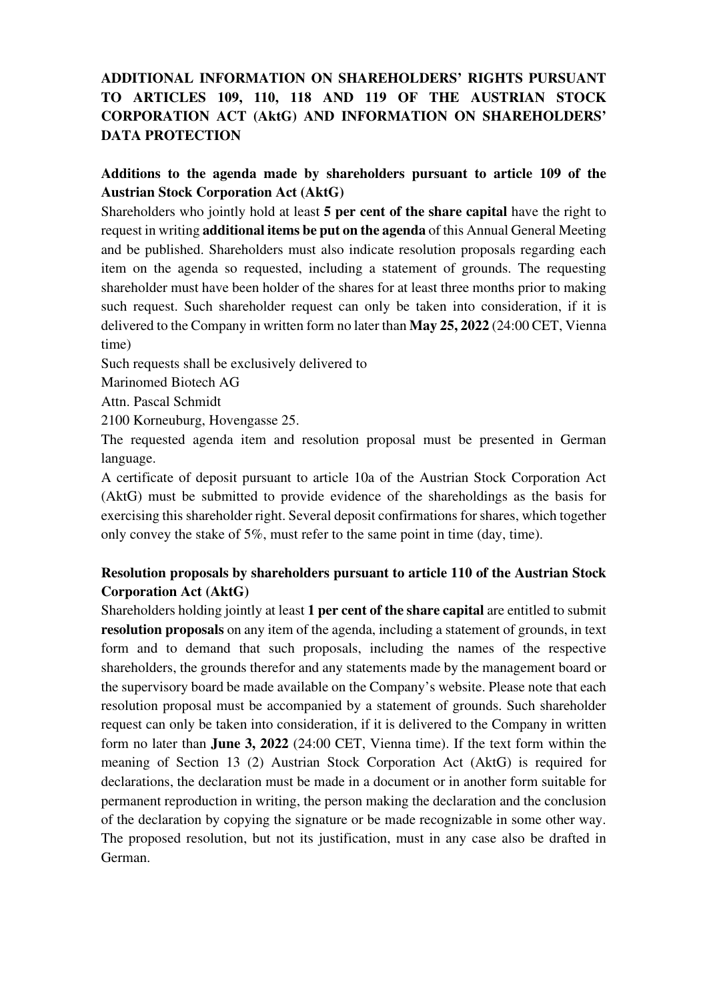## **ADDITIONAL INFORMATION ON SHAREHOLDERS' RIGHTS PURSUANT TO ARTICLES 109, 110, 118 AND 119 OF THE AUSTRIAN STOCK CORPORATION ACT (AktG) AND INFORMATION ON SHAREHOLDERS' DATA PROTECTION**

#### **Additions to the agenda made by shareholders pursuant to article 109 of the Austrian Stock Corporation Act (AktG)**

Shareholders who jointly hold at least **5 per cent of the share capital** have the right to request in writing **additional items be put on the agenda** of this Annual General Meeting and be published. Shareholders must also indicate resolution proposals regarding each item on the agenda so requested, including a statement of grounds. The requesting shareholder must have been holder of the shares for at least three months prior to making such request. Such shareholder request can only be taken into consideration, if it is delivered to the Company in written form no later than **May 25, 2022** (24:00 CET, Vienna time)

Such requests shall be exclusively delivered to

Marinomed Biotech AG

Attn. Pascal Schmidt

2100 Korneuburg, Hovengasse 25.

The requested agenda item and resolution proposal must be presented in German language.

A certificate of deposit pursuant to article 10a of the Austrian Stock Corporation Act (AktG) must be submitted to provide evidence of the shareholdings as the basis for exercising this shareholder right. Several deposit confirmations for shares, which together only convey the stake of 5%, must refer to the same point in time (day, time).

## **Resolution proposals by shareholders pursuant to article 110 of the Austrian Stock Corporation Act (AktG)**

Shareholders holding jointly at least **1 per cent of the share capital** are entitled to submit **resolution proposals** on any item of the agenda, including a statement of grounds, in text form and to demand that such proposals, including the names of the respective shareholders, the grounds therefor and any statements made by the management board or the supervisory board be made available on the Company's website. Please note that each resolution proposal must be accompanied by a statement of grounds. Such shareholder request can only be taken into consideration, if it is delivered to the Company in written form no later than **June 3, 2022** (24:00 CET, Vienna time). If the text form within the meaning of Section 13 (2) Austrian Stock Corporation Act (AktG) is required for declarations, the declaration must be made in a document or in another form suitable for permanent reproduction in writing, the person making the declaration and the conclusion of the declaration by copying the signature or be made recognizable in some other way. The proposed resolution, but not its justification, must in any case also be drafted in German.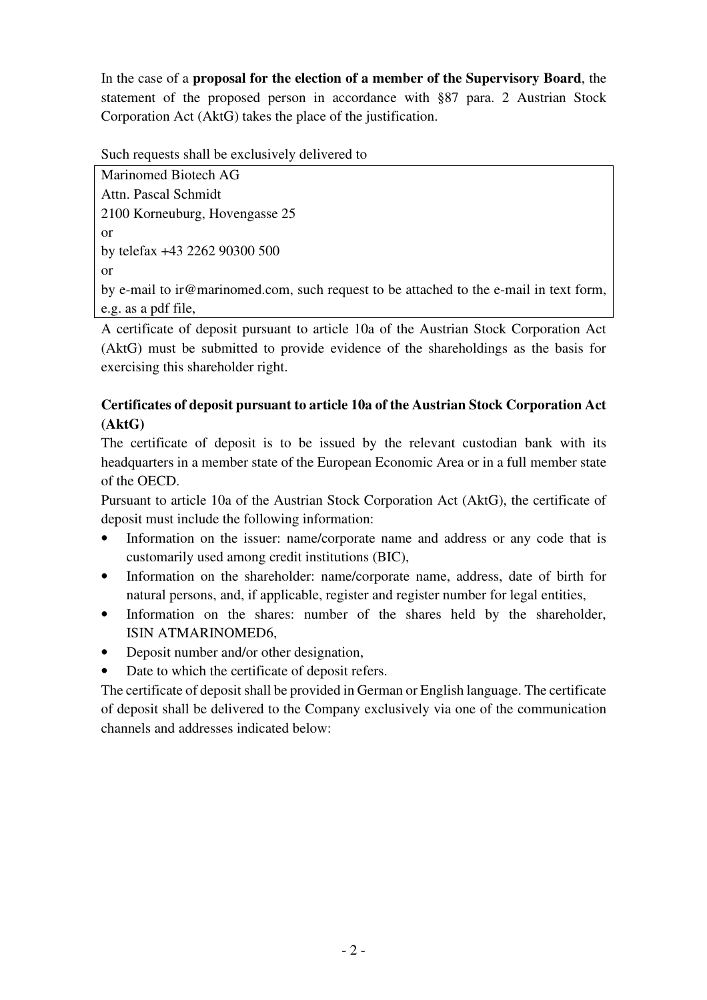In the case of a **proposal for the election of a member of the Supervisory Board**, the statement of the proposed person in accordance with §87 para. 2 Austrian Stock Corporation Act (AktG) takes the place of the justification.

Such requests shall be exclusively delivered to

Marinomed Biotech AG Attn. Pascal Schmidt 2100 Korneuburg, Hovengasse 25 or by telefax +43 2262 90300 500 or by e-mail to ir@marinomed.com, such request to be attached to the e-mail in text form, e.g. as a pdf file,

A certificate of deposit pursuant to article 10a of the Austrian Stock Corporation Act (AktG) must be submitted to provide evidence of the shareholdings as the basis for exercising this shareholder right.

# **Certificates of deposit pursuant to article 10a of the Austrian Stock Corporation Act (AktG)**

The certificate of deposit is to be issued by the relevant custodian bank with its headquarters in a member state of the European Economic Area or in a full member state of the OECD.

Pursuant to article 10a of the Austrian Stock Corporation Act (AktG), the certificate of deposit must include the following information:

- Information on the issuer: name/corporate name and address or any code that is customarily used among credit institutions (BIC),
- Information on the shareholder: name/corporate name, address, date of birth for natural persons, and, if applicable, register and register number for legal entities,
- Information on the shares: number of the shares held by the shareholder, ISIN ATMARINOMED6,
- Deposit number and/or other designation,
- Date to which the certificate of deposit refers.

The certificate of deposit shall be provided in German or English language. The certificate of deposit shall be delivered to the Company exclusively via one of the communication channels and addresses indicated below: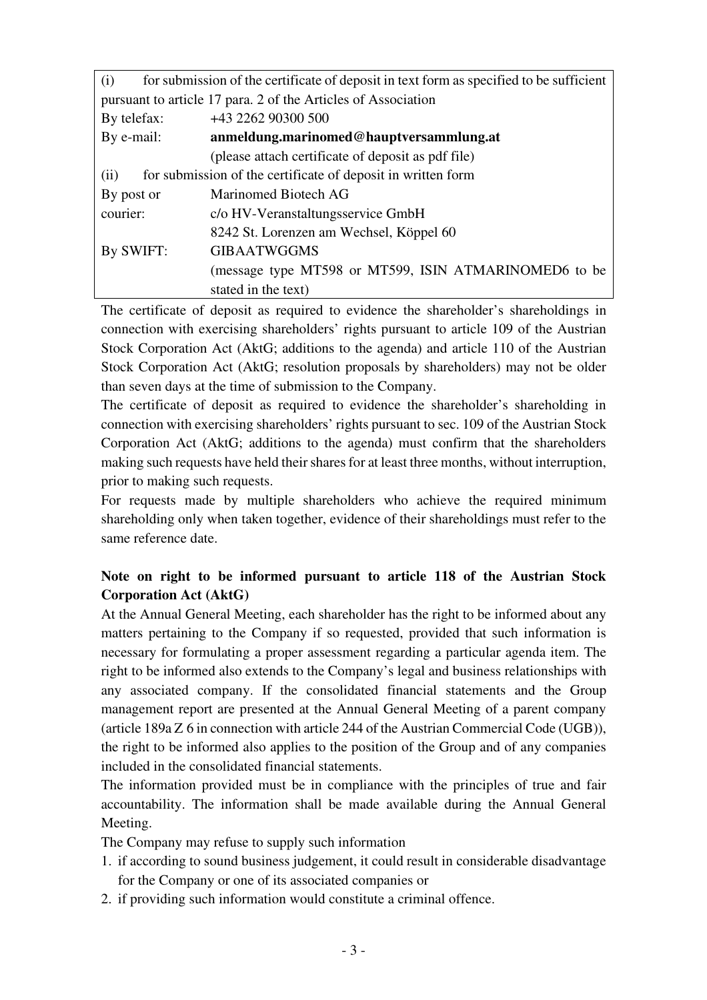| (i)                                                                  | for submission of the certificate of deposit in text form as specified to be sufficient |
|----------------------------------------------------------------------|-----------------------------------------------------------------------------------------|
| pursuant to article 17 para. 2 of the Articles of Association        |                                                                                         |
| By telefax:                                                          | +43 2262 90300 500                                                                      |
| By e-mail:                                                           | anmeldung.marinomed@hauptversammlung.at                                                 |
|                                                                      | (please attach certificate of deposit as pdf file)                                      |
| for submission of the certificate of deposit in written form<br>(ii) |                                                                                         |
| By post or                                                           | Marinomed Biotech AG                                                                    |
| courier:                                                             | c/o HV-Veranstaltungsservice GmbH                                                       |
|                                                                      | 8242 St. Lorenzen am Wechsel, Köppel 60                                                 |
| By SWIFT:                                                            | <b>GIBAATWGGMS</b>                                                                      |
|                                                                      | (message type MT598 or MT599, ISIN ATMARINOMED6 to be                                   |
|                                                                      | stated in the text)                                                                     |

The certificate of deposit as required to evidence the shareholder's shareholdings in connection with exercising shareholders' rights pursuant to article 109 of the Austrian Stock Corporation Act (AktG; additions to the agenda) and article 110 of the Austrian Stock Corporation Act (AktG; resolution proposals by shareholders) may not be older than seven days at the time of submission to the Company.

The certificate of deposit as required to evidence the shareholder's shareholding in connection with exercising shareholders' rights pursuant to sec. 109 of the Austrian Stock Corporation Act (AktG; additions to the agenda) must confirm that the shareholders making such requests have held their shares for at least three months, without interruption, prior to making such requests.

For requests made by multiple shareholders who achieve the required minimum shareholding only when taken together, evidence of their shareholdings must refer to the same reference date.

## **Note on right to be informed pursuant to article 118 of the Austrian Stock Corporation Act (AktG)**

At the Annual General Meeting, each shareholder has the right to be informed about any matters pertaining to the Company if so requested, provided that such information is necessary for formulating a proper assessment regarding a particular agenda item. The right to be informed also extends to the Company's legal and business relationships with any associated company. If the consolidated financial statements and the Group management report are presented at the Annual General Meeting of a parent company (article 189a Z 6 in connection with article 244 of the Austrian Commercial Code (UGB)), the right to be informed also applies to the position of the Group and of any companies included in the consolidated financial statements.

The information provided must be in compliance with the principles of true and fair accountability. The information shall be made available during the Annual General Meeting.

The Company may refuse to supply such information

- 1. if according to sound business judgement, it could result in considerable disadvantage for the Company or one of its associated companies or
- 2. if providing such information would constitute a criminal offence.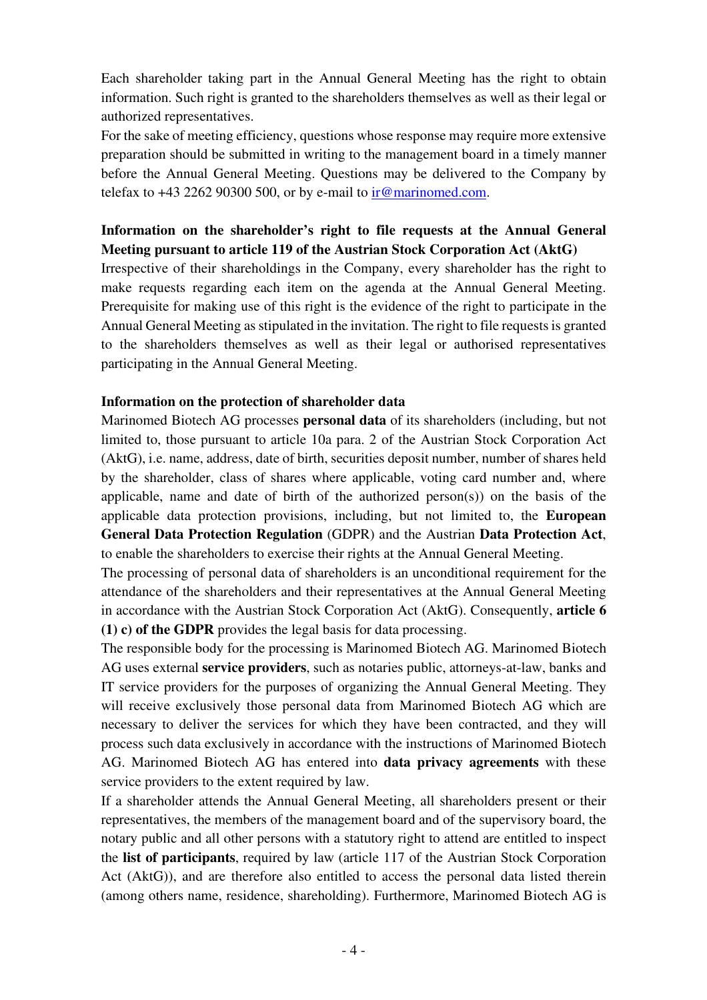Each shareholder taking part in the Annual General Meeting has the right to obtain information. Such right is granted to the shareholders themselves as well as their legal or authorized representatives.

For the sake of meeting efficiency, questions whose response may require more extensive preparation should be submitted in writing to the management board in a timely manner before the Annual General Meeting. Questions may be delivered to the Company by telefax to  $+43$  2262 90300 500, or by e-mail to ir@marinomed.com.

### **Information on the shareholder's right to file requests at the Annual General Meeting pursuant to article 119 of the Austrian Stock Corporation Act (AktG)**

Irrespective of their shareholdings in the Company, every shareholder has the right to make requests regarding each item on the agenda at the Annual General Meeting. Prerequisite for making use of this right is the evidence of the right to participate in the Annual General Meeting as stipulated in the invitation. The right to file requests is granted to the shareholders themselves as well as their legal or authorised representatives participating in the Annual General Meeting.

#### **Information on the protection of shareholder data**

Marinomed Biotech AG processes **personal data** of its shareholders (including, but not limited to, those pursuant to article 10a para. 2 of the Austrian Stock Corporation Act (AktG), i.e. name, address, date of birth, securities deposit number, number of shares held by the shareholder, class of shares where applicable, voting card number and, where applicable, name and date of birth of the authorized person(s)) on the basis of the applicable data protection provisions, including, but not limited to, the **European General Data Protection Regulation** (GDPR) and the Austrian **Data Protection Act**, to enable the shareholders to exercise their rights at the Annual General Meeting.

The processing of personal data of shareholders is an unconditional requirement for the attendance of the shareholders and their representatives at the Annual General Meeting in accordance with the Austrian Stock Corporation Act (AktG). Consequently, **article 6 (1) c) of the GDPR** provides the legal basis for data processing.

The responsible body for the processing is Marinomed Biotech AG. Marinomed Biotech AG uses external **service providers**, such as notaries public, attorneys-at-law, banks and IT service providers for the purposes of organizing the Annual General Meeting. They will receive exclusively those personal data from Marinomed Biotech AG which are necessary to deliver the services for which they have been contracted, and they will process such data exclusively in accordance with the instructions of Marinomed Biotech AG. Marinomed Biotech AG has entered into **data privacy agreements** with these service providers to the extent required by law.

If a shareholder attends the Annual General Meeting, all shareholders present or their representatives, the members of the management board and of the supervisory board, the notary public and all other persons with a statutory right to attend are entitled to inspect the **list of participants**, required by law (article 117 of the Austrian Stock Corporation Act (AktG)), and are therefore also entitled to access the personal data listed therein (among others name, residence, shareholding). Furthermore, Marinomed Biotech AG is